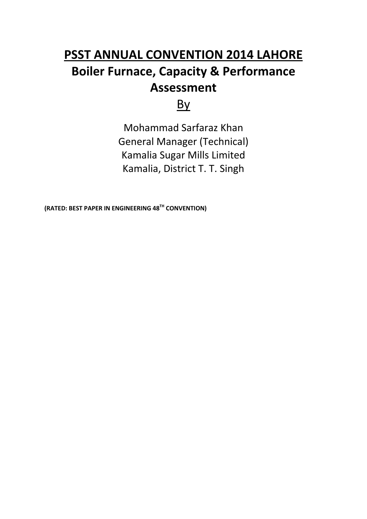# **Boiler Furnace, Capacity & Performance PSST ANNUAL CONVENTION 2014 LAHORE Assessment**

## By

Mohammad Sarfaraz Khan General Manager (Technical) Kamalia Sugar Mills Limited Kamalia, District T. T. Singh

**(RATED: BEST PAPER IN ENGINEERING 48TH CONVENTION)**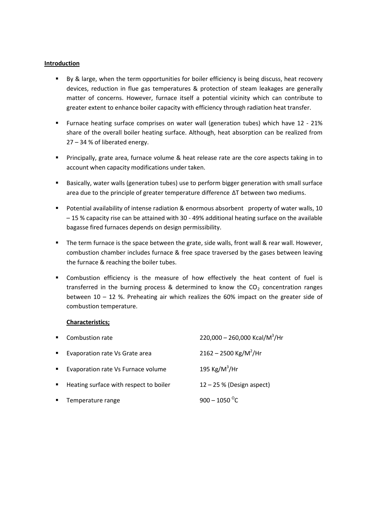#### **Introduction**

- By & large, when the term opportunities for boiler efficiency is being discuss, heat recovery devices, reduction in flue gas temperatures & protection of steam leakages are generally matter of concerns. However, furnace itself a potential vicinity which can contribute to greater extent to enhance boiler capacity with efficiency through radiation heat transfer.
- Furnace heating surface comprises on water wall (generation tubes) which have 12 21% share of the overall boiler heating surface. Although, heat absorption can be realized from 27 – 34 % of liberated energy.
- Principally, grate area, furnace volume & heat release rate are the core aspects taking in to account when capacity modifications under taken.
- Basically, water walls (generation tubes) use to perform bigger generation with small surface area due to the principle of greater temperature difference ∆T between two mediums.
- Potential availability of intense radiation & enormous absorbent property of water walls, 10 – 15 % capacity rise can be attained with 30 - 49% additional heating surface on the available bagasse fired furnaces depends on design permissibility.
- The term furnace is the space between the grate, side walls, front wall & rear wall. However, combustion chamber includes furnace & free space traversed by the gases between leaving the furnace & reaching the boiler tubes.
- Combustion efficiency is the measure of how effectively the heat content of fuel is transferred in the burning process & determined to know the  $CO<sub>2</sub>$  concentration ranges between 10 – 12 %. Preheating air which realizes the 60% impact on the greater side of combustion temperature.

#### **Characteristics;**

| $\blacksquare$ | Combustion rate                        | 220,000 - 260,000 Kcal/M <sup>3</sup> /Hr |
|----------------|----------------------------------------|-------------------------------------------|
| $\blacksquare$ | Evaporation rate Vs Grate area         | $2162 - 2500$ Kg/M <sup>2</sup> /Hr       |
| $\blacksquare$ | Evaporation rate Vs Furnace volume     | 195 Kg/M <sup>3</sup> /Hr                 |
| $\blacksquare$ | Heating surface with respect to boiler | $12 - 25$ % (Design aspect)               |
|                | Temperature range                      | $900 - 1050$ <sup>o</sup> C               |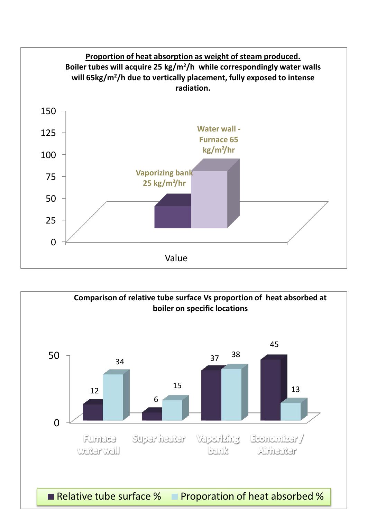

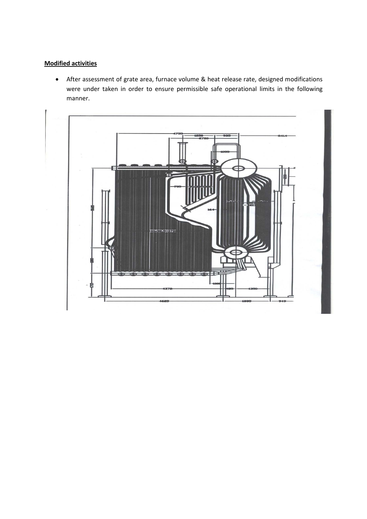#### **Modified activities**

• After assessment of grate area, furnace volume & heat release rate, designed modifications were under taken in order to ensure permissible safe operational limits in the following manner.

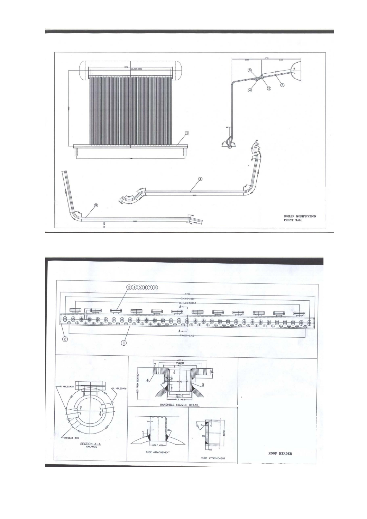

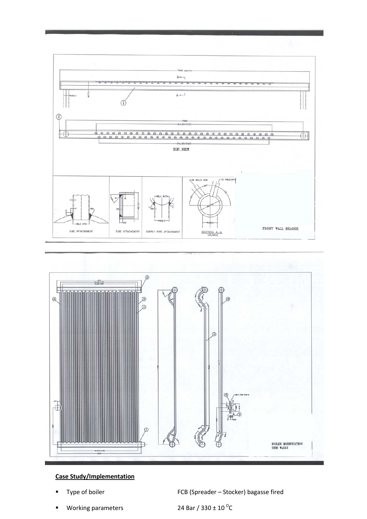



#### **Case Study/Implementation**

Type of boiler **FCB** (Spreader – Stocker) bagasse fired

Working parameters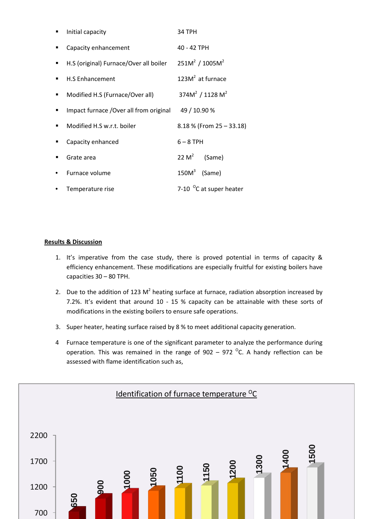|                | Initial capacity                        | 34 TPH                              |
|----------------|-----------------------------------------|-------------------------------------|
| ■              | Capacity enhancement                    | 40 - 42 TPH                         |
| $\blacksquare$ | H.S (original) Furnace/Over all boiler  | $251M^2 / 1005M^2$                  |
| ٠              | <b>H.S Enhancement</b>                  | 123M <sup>2</sup> at furnace        |
| $\blacksquare$ | Modified H.S (Furnace/Over all)         | 374 $M^2$ / 1128 $M^2$              |
| ■              | Impact furnace / Over all from original | 49 / 10.90 %                        |
| ٠              | Modified H.S w.r.t. boiler              | $8.18\%$ (From 25 – 33.18)          |
|                | Capacity enhanced                       | $6 - 8$ TPH                         |
| ٠              | Grate area                              | 22 $M^2$<br>(Same)                  |
|                | Furnace volume                          | $150M3$ (Same)                      |
|                | Temperature rise                        | 7-10 <sup>o</sup> C at super heater |

#### **Results & Discussion**

- 1. It's imperative from the case study, there is proved potential in terms of capacity & efficiency enhancement. These modifications are especially fruitful for existing boilers have capacities 30 – 80 TPH.
- 2. Due to the addition of 123  $M^2$  heating surface at furnace, radiation absorption increased by 7.2%. It's evident that around 10 - 15 % capacity can be attainable with these sorts of modifications in the existing boilers to ensure safe operations.
- 3. Super heater, heating surface raised by 8 % to meet additional capacity generation.
- 4 Furnace temperature is one of the significant parameter to analyze the performance during operation. This was remained in the range of  $902 - 972$  °C. A handy reflection can be assessed with flame identification such as,

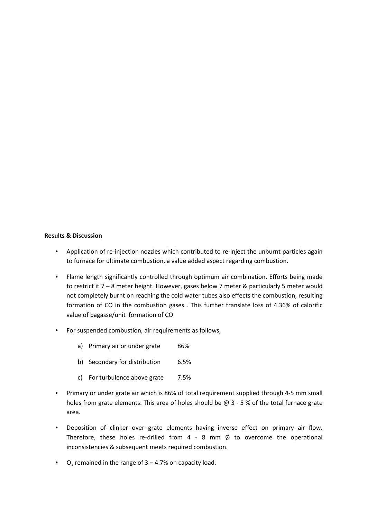#### **Results & Discussion**

- Application of re-injection nozzles which contributed to re-inject the unburnt particles again to furnace for ultimate combustion, a value added aspect regarding combustion.
- Flame length significantly controlled through optimum air combination. Efforts being made to restrict it 7 – 8 meter height. However, gases below 7 meter & particularly 5 meter would not completely burnt on reaching the cold water tubes also effects the combustion, resulting formation of CO in the combustion gases . This further translate loss of 4.36% of calorific value of bagasse/unit formation of CO
- For suspended combustion, air requirements as follows,
	- a) Primary air or under grate 86%
	- b) Secondary for distribution 6.5%
	- c) For turbulence above grate 7.5%
- Primary or under grate air which is 86% of total requirement supplied through 4-5 mm small holes from grate elements. This area of holes should be  $@$  3 - 5 % of the total furnace grate area.
- Deposition of clinker over grate elements having inverse effect on primary air flow. Therefore, these holes re-drilled from  $4 - 8$  mm  $\emptyset$  to overcome the operational inconsistencies & subsequent meets required combustion.
- O<sub>2</sub> remained in the range of  $3 4.7%$  on capacity load.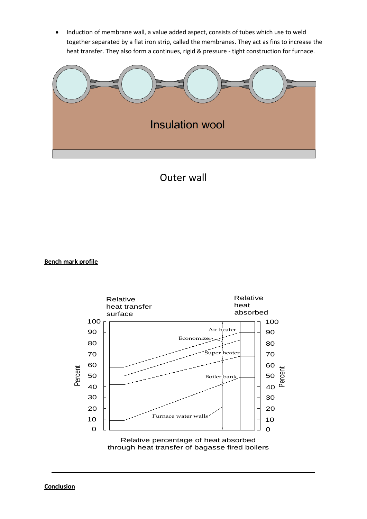• Induction of membrane wall, a value added aspect, consists of tubes which use to weld together separated by a flat iron strip, called the membranes. They act as fins to increase the heat transfer. They also form a continues, rigid & pressure - tight construction for furnace.



### Outer wall

#### **Bench mark profile**



through heat transfer of bagasse fired boilers